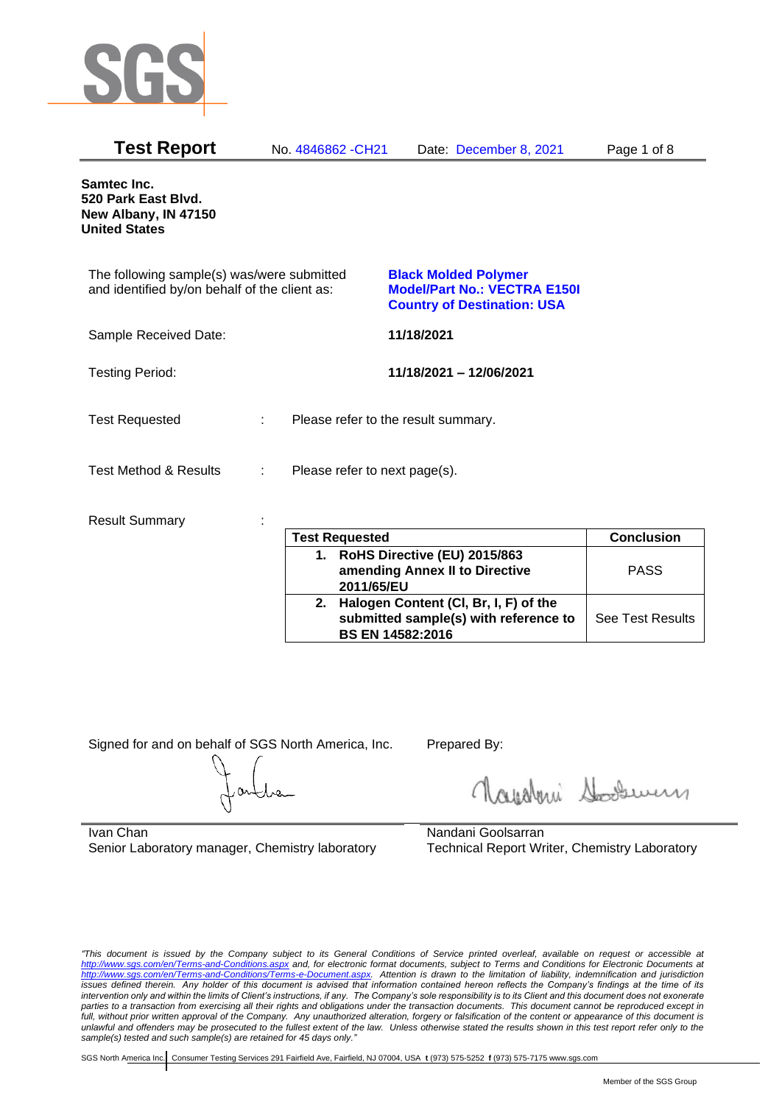

| <b>Test Report</b>                                                                          |   | No. 4846862 - CH21            | Date: December 8, 2021                                                                                   | Page 1 of 8 |
|---------------------------------------------------------------------------------------------|---|-------------------------------|----------------------------------------------------------------------------------------------------------|-------------|
| Samtec Inc.<br>520 Park East Blvd.<br>New Albany, IN 47150<br><b>United States</b>          |   |                               |                                                                                                          |             |
| The following sample(s) was/were submitted<br>and identified by/on behalf of the client as: |   |                               | <b>Black Molded Polymer</b><br><b>Model/Part No.: VECTRA E150I</b><br><b>Country of Destination: USA</b> |             |
| Sample Received Date:                                                                       |   |                               | 11/18/2021                                                                                               |             |
| <b>Testing Period:</b>                                                                      |   |                               | 11/18/2021 - 12/06/2021                                                                                  |             |
| <b>Test Requested</b>                                                                       | ÷ |                               | Please refer to the result summary.                                                                      |             |
| <b>Test Method &amp; Results</b>                                                            | ÷ | Please refer to next page(s). |                                                                                                          |             |
| <b>Result Summary</b>                                                                       |   | <b>Tast Ranuastad</b>         |                                                                                                          | Conclusion  |

|    | <b>Test Requested</b>                                                                                     | <b>Conclusion</b>       |
|----|-----------------------------------------------------------------------------------------------------------|-------------------------|
| 1. | RoHS Directive (EU) 2015/863<br>amending Annex II to Directive<br>2011/65/EU                              | <b>PASS</b>             |
| 2. | Halogen Content (CI, Br, I, F) of the<br>submitted sample(s) with reference to<br><b>BS EN 14582:2016</b> | <b>See Test Results</b> |

Signed for and on behalf of SGS North America, Inc. Prepared By:

Roughan Souri

Ivan Chan Senior Laboratory manager, Chemistry laboratory

Nandani Goolsarran Technical Report Writer, Chemistry Laboratory

*"This document is issued by the Company subject to its General Conditions of Service printed overleaf, available on request or accessible at <http://www.sgs.com/en/Terms-and-Conditions.aspx> and, for electronic format documents, subject to Terms and Conditions for Electronic Documents at [http://www.sgs.com/en/Terms-and-Conditions/Terms-e-Document.aspx.](http://www.sgs.com/en/Terms-and-Conditions/Terms-e-Document.aspx) Attention is drawn to the limitation of liability, indemnification and jurisdiction issues defined therein. Any holder of this document is advised that information contained hereon reflects the Company's findings at the time of its intervention only and within the limits of Client's instructions, if any. The Company's sole responsibility is to its Client and this document does not exonerate*  parties to a transaction from exercising all their rights and obligations under the transaction documents. This document cannot be reproduced except in *full, without prior written approval of the Company. Any unauthorized alteration, forgery or falsification of the content or appearance of this document is unlawful and offenders may be prosecuted to the fullest extent of the law. Unless otherwise stated the results shown in this test report refer only to the sample(s) tested and such sample(s) are retained for 45 days only."*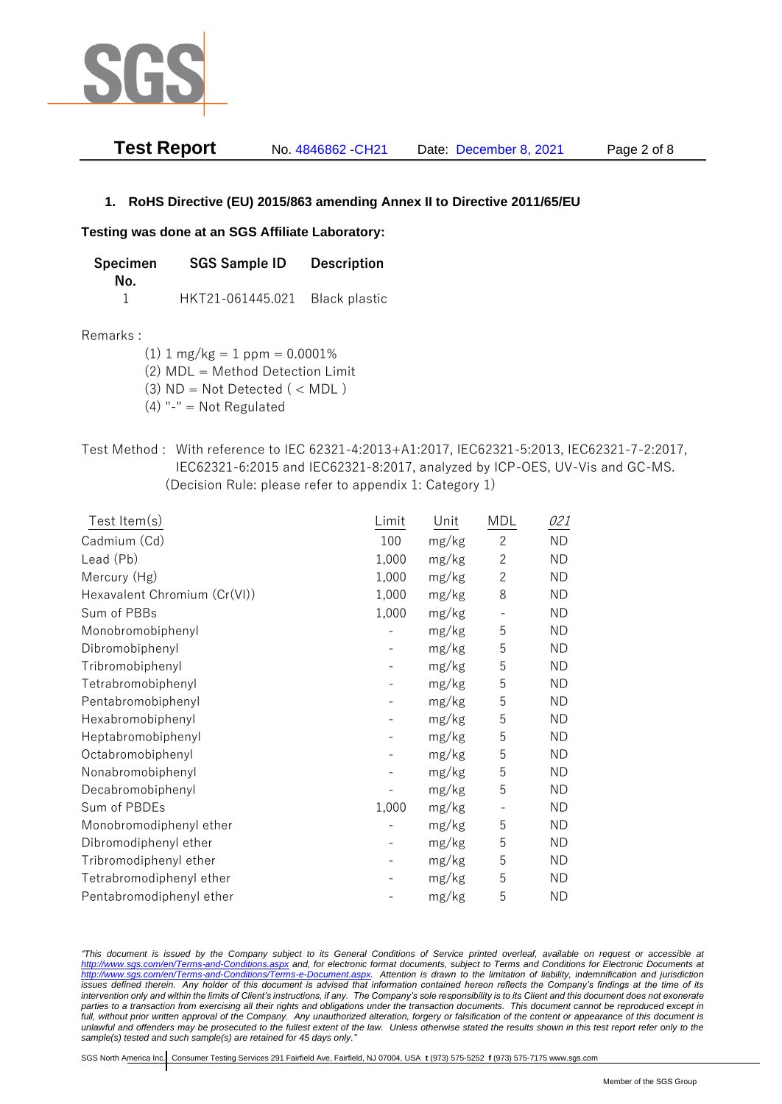

| Test Report | No. 4846862 - CH21 | Date: December 8, 2021 | Page 2 of 8 |
|-------------|--------------------|------------------------|-------------|
|-------------|--------------------|------------------------|-------------|

## **1. RoHS Directive (EU) 2015/863 amending Annex II to Directive 2011/65/EU**

### **Testing was done at an SGS Affiliate Laboratory:**

| Specimen | <b>SGS Sample ID</b>           | <b>Description</b> |
|----------|--------------------------------|--------------------|
| No.      |                                |                    |
|          | HKT21-061445.021 Black plastic |                    |

#### Remarks :

 $(1)$  1 mg/kg = 1 ppm = 0.0001%

(2) MDL = Method Detection Limit

 $(3)$  ND = Not Detected  $($  < MDL)

- $(4)$  "-" = Not Regulated
- Test Method : With reference to IEC 62321-4:2013+A1:2017, IEC62321-5:2013, IEC62321-7-2:2017, IEC62321-6:2015 and IEC62321-8:2017, analyzed by ICP-OES, UV-Vis and GC-MS. (Decision Rule: please refer to appendix 1: Category 1)

| Test Item(s)                 | Limit | Unit  | <b>MDL</b>   | 021       |
|------------------------------|-------|-------|--------------|-----------|
| Cadmium (Cd)                 | 100   | mg/kg | $\mathbf{2}$ | <b>ND</b> |
| Lead (Pb)                    | 1,000 | mg/kg | $\mathbf{2}$ | <b>ND</b> |
| Mercury (Hg)                 | 1,000 | mg/kg | $\mathbf{2}$ | <b>ND</b> |
| Hexavalent Chromium (Cr(VI)) | 1,000 | mg/kg | 8            | <b>ND</b> |
| Sum of PBBs                  | 1,000 | mg/kg |              | <b>ND</b> |
| Monobromobiphenyl            |       | mg/kg | 5            | <b>ND</b> |
| Dibromobiphenyl              |       | mg/kg | 5            | <b>ND</b> |
| Tribromobiphenyl             |       | mg/kg | 5            | <b>ND</b> |
| Tetrabromobiphenyl           |       | mg/kg | 5            | <b>ND</b> |
| Pentabromobiphenyl           |       | mg/kg | 5            | <b>ND</b> |
| Hexabromobiphenyl            |       | mg/kg | 5            | <b>ND</b> |
| Heptabromobiphenyl           |       | mg/kg | 5            | <b>ND</b> |
| Octabromobiphenyl            |       | mg/kg | 5            | <b>ND</b> |
| Nonabromobiphenyl            |       | mg/kg | 5            | <b>ND</b> |
| Decabromobiphenyl            |       | mg/kg | 5            | <b>ND</b> |
| Sum of PBDEs                 | 1,000 | mg/kg |              | <b>ND</b> |
| Monobromodiphenyl ether      |       | mg/kg | 5            | <b>ND</b> |
| Dibromodiphenyl ether        |       | mg/kg | 5            | <b>ND</b> |
| Tribromodiphenyl ether       |       | mg/kg | 5            | <b>ND</b> |
| Tetrabromodiphenyl ether     |       | mg/kg | 5            | <b>ND</b> |
| Pentabromodiphenyl ether     |       | mg/kg | 5            | <b>ND</b> |

*"This document is issued by the Company subject to its General Conditions of Service printed overleaf, available on request or accessible at <http://www.sgs.com/en/Terms-and-Conditions.aspx> and, for electronic format documents, subject to Terms and Conditions for Electronic Documents at [http://www.sgs.com/en/Terms-and-Conditions/Terms-e-Document.aspx.](http://www.sgs.com/en/Terms-and-Conditions/Terms-e-Document.aspx) Attention is drawn to the limitation of liability, indemnification and jurisdiction issues defined therein. Any holder of this document is advised that information contained hereon reflects the Company's findings at the time of its intervention only and within the limits of Client's instructions, if any. The Company's sole responsibility is to its Client and this document does not exonerate parties to a transaction from exercising all their rights and obligations under the transaction documents. This document cannot be reproduced except in full, without prior written approval of the Company. Any unauthorized alteration, forgery or falsification of the content or appearance of this document is unlawful and offenders may be prosecuted to the fullest extent of the law. Unless otherwise stated the results shown in this test report refer only to the sample(s) tested and such sample(s) are retained for 45 days only."*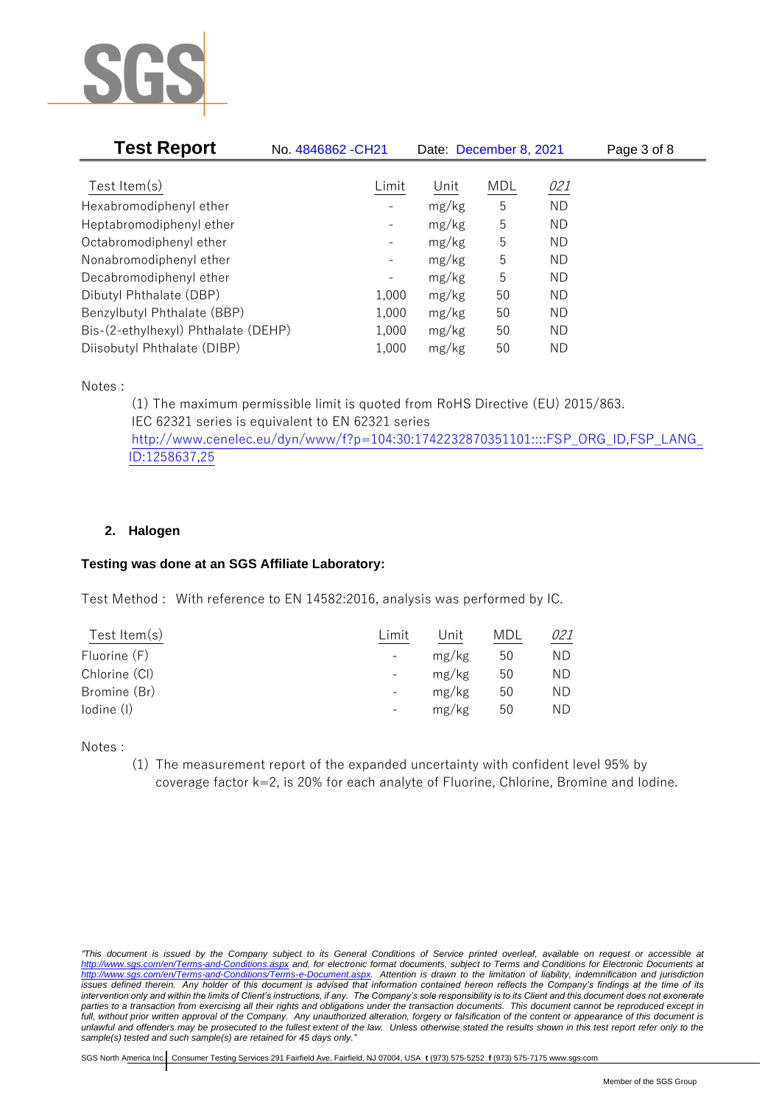

| <b>Test Report</b>                  | No. 4846862 - CH21 | Date: December 8, 2021 |            |           | Page 3 of 8 |
|-------------------------------------|--------------------|------------------------|------------|-----------|-------------|
|                                     |                    |                        |            |           |             |
| Test Item $(s)$                     | Limit              | Unit                   | <b>MDL</b> | 021       |             |
| Hexabromodiphenyl ether             |                    | mg/kg                  | 5          | <b>ND</b> |             |
| Heptabromodiphenyl ether            |                    | mg/kg                  | 5          | <b>ND</b> |             |
| Octabromodiphenyl ether             |                    | mg/kg                  | 5          | ΝD        |             |
| Nonabromodiphenyl ether             | $\qquad \qquad -$  | mg/kg                  | 5          | ND        |             |
| Decabromodiphenyl ether             | -                  | mg/kg                  | 5          | <b>ND</b> |             |
| Dibutyl Phthalate (DBP)             | 1,000              | mg/kg                  | 50         | ND        |             |
| Benzylbutyl Phthalate (BBP)         | 1,000              | mg/kg                  | 50         | ND        |             |
| Bis-(2-ethylhexyl) Phthalate (DEHP) | 1,000              | mg/kg                  | 50         | ΝD        |             |
| Diisobutyl Phthalate (DIBP)         | 1,000              | mg/kg                  | 50         | ΝD        |             |

Notes :

(1) The maximum permissible limit is quoted from RoHS Directive (EU) 2015/863. IEC 62321 series is equivalent to EN 62321 series [http://www.cenelec.eu/dyn/www/f?p=104:30:1742232870351101::::FSP\\_ORG\\_ID,FSP\\_LANG\\_](http://www.cenelec.eu/dyn/www/f?p=104:30:1742232870351101::::FSP_ORG_ID,FSP_LANG_ID:1258637,25) [ID:1258637,25](http://www.cenelec.eu/dyn/www/f?p=104:30:1742232870351101::::FSP_ORG_ID,FSP_LANG_ID:1258637,25)

# **2. Halogen**

### **Testing was done at an SGS Affiliate Laboratory:**

Test Method : With reference to EN 14582:2016, analysis was performed by IC.

| Test Item $(s)$ | Limit                    | Unit  | MDL | 921 |
|-----------------|--------------------------|-------|-----|-----|
| Fluorine (F)    | $\overline{\phantom{a}}$ | mg/kg | 50  | ND  |
| Chlorine (CI)   | $-$                      | mg/kg | 50  | ND  |
| Bromine (Br)    | $\overline{\phantom{a}}$ | mg/kg | 50  | ND  |
| lodine (I)      |                          | mg/kg | 50  | ND  |
|                 |                          |       |     |     |

Notes :

(1) The measurement report of the expanded uncertainty with confident level 95% by coverage factor k=2, is 20% for each analyte of Fluorine, Chlorine, Bromine and Iodine.

*<sup>&</sup>quot;This document is issued by the Company subject to its General Conditions of Service printed overleaf, available on request or accessible at <http://www.sgs.com/en/Terms-and-Conditions.aspx> and, for electronic format documents, subject to Terms and Conditions for Electronic Documents at [http://www.sgs.com/en/Terms-and-Conditions/Terms-e-Document.aspx.](http://www.sgs.com/en/Terms-and-Conditions/Terms-e-Document.aspx) Attention is drawn to the limitation of liability, indemnification and jurisdiction issues defined therein. Any holder of this document is advised that information contained hereon reflects the Company's findings at the time of its intervention only and within the limits of Client's instructions, if any. The Company's sole responsibility is to its Client and this document does not exonerate parties to a transaction from exercising all their rights and obligations under the transaction documents. This document cannot be reproduced except in full, without prior written approval of the Company. Any unauthorized alteration, forgery or falsification of the content or appearance of this document is unlawful and offenders may be prosecuted to the fullest extent of the law. Unless otherwise stated the results shown in this test report refer only to the sample(s) tested and such sample(s) are retained for 45 days only."*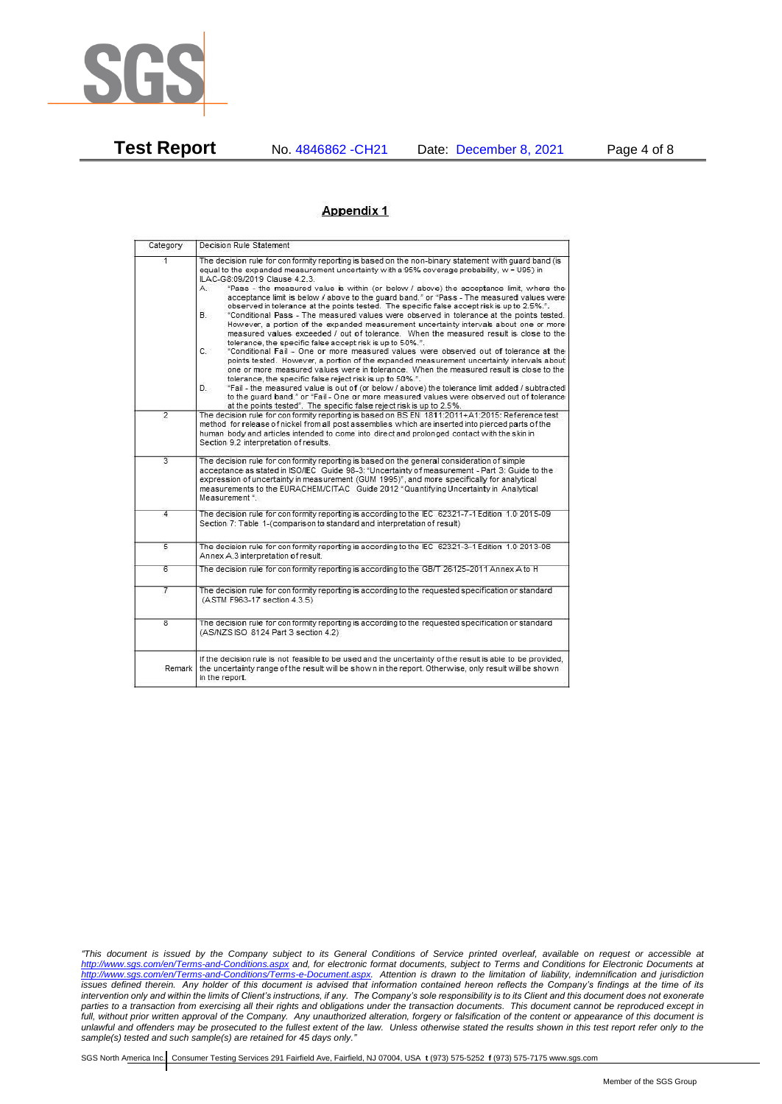

**Test Report** No. 4846862 -CH21 Date: December 8, 2021 Page 4 of 8

### Appendix 1

| Category                | Decision Rule Statement                                                                                                                                                                                                                                                                                                                                                                                                                                                                                                                                                                                                                                                                                                                                                                                                                                                                                                                                                                                                                                                                                                                                                                                                                                                                                                                                                                                                                                                                                                   |
|-------------------------|---------------------------------------------------------------------------------------------------------------------------------------------------------------------------------------------------------------------------------------------------------------------------------------------------------------------------------------------------------------------------------------------------------------------------------------------------------------------------------------------------------------------------------------------------------------------------------------------------------------------------------------------------------------------------------------------------------------------------------------------------------------------------------------------------------------------------------------------------------------------------------------------------------------------------------------------------------------------------------------------------------------------------------------------------------------------------------------------------------------------------------------------------------------------------------------------------------------------------------------------------------------------------------------------------------------------------------------------------------------------------------------------------------------------------------------------------------------------------------------------------------------------------|
| 1                       | The decision rule for conformity reporting is based on the non-binary statement with quard band (is<br>equal to the expanded measurement uncertainty with a 95% coverage probability, w = U95) in<br>ILAC-G8:09/2019 Clause 4.2.3.<br>"Pass - the measured value is within (or below / above) the acceptance limit, where the<br>А.<br>acceptance limit is below / above to the quard band." or "Pass - The measured values were<br>observed in tolerance at the points tested. The specific false accept risk is up to 2.5%.".<br><b>B.</b><br>"Conditional Pass - The measured values were observed in tolerance at the points tested.<br>However, a portion of the expanded measurement uncertainty intervals about one or more<br>measured values exceeded / out of tolerance. When the measured result is close to the<br>tolerance, the specific false accept risk is up to 50%.".<br>C.<br>"Conditional Fail - One or more measured values were observed out of tolerance at the<br>points tested. However, a portion of the expanded measurement uncertainty intervals about<br>one or more measured values were in tolerance. When the measured result is close to the<br>tolerance, the specific false reject risk is up to 50%.".<br>"Fail - the measured value is out of (or below / above) the tolerance limit added / subtracted<br>D.<br>to the quard band." or "Fail - One or more measured values were observed out of tolerance<br>at the points tested". The specific false reject risk is up to 2.5%. |
| $\overline{2}$          | The decision rule for conformity reporting is based on BS EN 1811:2011+A1:2015: Reference test<br>method for release of nickel from all post assemblies which are inserted into pierced parts of the<br>human body and articles intended to come into direct and prolonged contact with the skin in<br>Section 9.2 interpretation of results.                                                                                                                                                                                                                                                                                                                                                                                                                                                                                                                                                                                                                                                                                                                                                                                                                                                                                                                                                                                                                                                                                                                                                                             |
| $\overline{3}$          | The decision rule for conformity reporting is based on the general consideration of simple<br>acceptance as stated in ISO/IEC Guide 98-3: "Uncertainty of measurement - Part 3: Guide to the<br>expression of uncertainty in measurement (GUM 1995)", and more specifically for analytical<br>measurements to the EURACHEM/CITAC Guide 2012 "Quantifying Uncertainty in Analytical<br>Measurement *.                                                                                                                                                                                                                                                                                                                                                                                                                                                                                                                                                                                                                                                                                                                                                                                                                                                                                                                                                                                                                                                                                                                      |
| 4                       | The decision rule for conformity reporting is according to the IEC 62321-7-1 Edition 1.0 2015-09<br>Section 7: Table 1-(comparison to standard and interpretation of result)                                                                                                                                                                                                                                                                                                                                                                                                                                                                                                                                                                                                                                                                                                                                                                                                                                                                                                                                                                                                                                                                                                                                                                                                                                                                                                                                              |
| $\overline{5}$          | The decision rule for conformity reporting is according to the IEC 62321-3-1 Edition 1.0 2013-06<br>Annex A.3 interpretation of result.                                                                                                                                                                                                                                                                                                                                                                                                                                                                                                                                                                                                                                                                                                                                                                                                                                                                                                                                                                                                                                                                                                                                                                                                                                                                                                                                                                                   |
| 6                       | The decision rule for conformity reporting is according to the GB/T 26125-2011 Annex A to H                                                                                                                                                                                                                                                                                                                                                                                                                                                                                                                                                                                                                                                                                                                                                                                                                                                                                                                                                                                                                                                                                                                                                                                                                                                                                                                                                                                                                               |
| 7                       | The decision rule for conformity reporting is according to the requested specification or standard<br>(ASTM F963-17 section 4.3.5)                                                                                                                                                                                                                                                                                                                                                                                                                                                                                                                                                                                                                                                                                                                                                                                                                                                                                                                                                                                                                                                                                                                                                                                                                                                                                                                                                                                        |
| $\overline{\mathbf{8}}$ | The decision rule for conformity reporting is according to the requested specification or standard<br>(AS/NZS ISO 8124 Part 3 section 4.2)                                                                                                                                                                                                                                                                                                                                                                                                                                                                                                                                                                                                                                                                                                                                                                                                                                                                                                                                                                                                                                                                                                                                                                                                                                                                                                                                                                                |
| Remark                  | If the decision rule is not feasible to be used and the uncertainty of the result is able to be provided,<br>the uncertainty range of the result will be shown in the report. Otherwise, only result will be shown<br>in the report.                                                                                                                                                                                                                                                                                                                                                                                                                                                                                                                                                                                                                                                                                                                                                                                                                                                                                                                                                                                                                                                                                                                                                                                                                                                                                      |

*<sup>&</sup>quot;This document is issued by the Company subject to its General Conditions of Service printed overleaf, available on request or accessible at <http://www.sgs.com/en/Terms-and-Conditions.aspx> and, for electronic format documents, subject to Terms and Conditions for Electronic Documents at [http://www.sgs.com/en/Terms-and-Conditions/Terms-e-Document.aspx.](http://www.sgs.com/en/Terms-and-Conditions/Terms-e-Document.aspx) Attention is drawn to the limitation of liability, indemnification and jurisdiction issues defined therein. Any holder of this document is advised that information contained hereon reflects the Company's findings at the time of its intervention only and within the limits of Client's instructions, if any. The Company's sole responsibility is to its Client and this document does not exonerate parties to a transaction from exercising all their rights and obligations under the transaction documents. This document cannot be reproduced except in full, without prior written approval of the Company. Any unauthorized alteration, forgery or falsification of the content or appearance of this document is unlawful and offenders may be prosecuted to the fullest extent of the law. Unless otherwise stated the results shown in this test report refer only to the sample(s) tested and such sample(s) are retained for 45 days only."*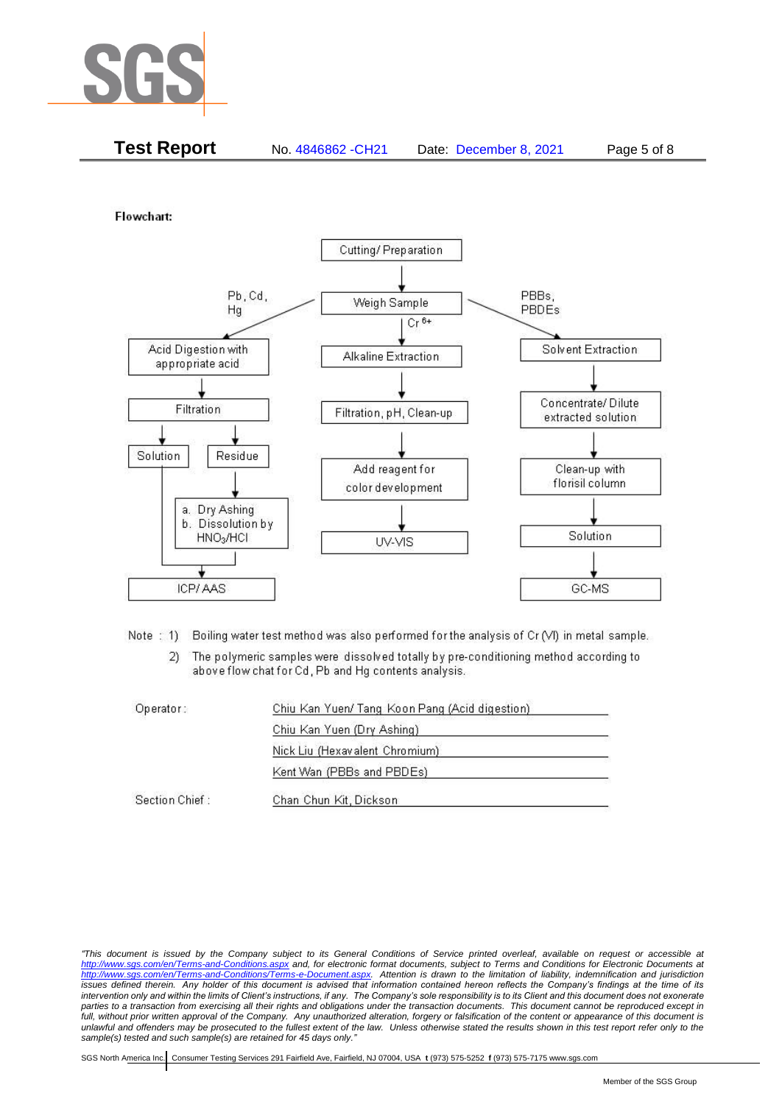

|  | <b>Test Report</b> | No. 4846862 - CH21 | Date: December 8, 2021 | Page 5 of 8 |
|--|--------------------|--------------------|------------------------|-------------|
|--|--------------------|--------------------|------------------------|-------------|

Flowchart:



Note: 1) Boiling water test method was also performed for the analysis of Cr (VI) in metal sample.

The polymeric samples were dissolved totally by pre-conditioning method according to  $2)$ above flow chat for Cd, Pb and Hg contents analysis.

| Operator:      | Chiu Kan Yuen/ Tang Koon Pang (Acid digestion) |  |
|----------------|------------------------------------------------|--|
|                | Chiu Kan Yuen (Dry Ashing)                     |  |
|                | Nick Liu (Hexavalent Chromium)                 |  |
|                | Kent Wan (PBBs and PBDEs)                      |  |
| Section Chief: | Chan Chun Kit, Dickson                         |  |

*<sup>&</sup>quot;This document is issued by the Company subject to its General Conditions of Service printed overleaf, available on request or accessible at <http://www.sgs.com/en/Terms-and-Conditions.aspx> and, for electronic format documents, subject to Terms and Conditions for Electronic Documents at [http://www.sgs.com/en/Terms-and-Conditions/Terms-e-Document.aspx.](http://www.sgs.com/en/Terms-and-Conditions/Terms-e-Document.aspx) Attention is drawn to the limitation of liability, indemnification and jurisdiction issues defined therein. Any holder of this document is advised that information contained hereon reflects the Company's findings at the time of its intervention only and within the limits of Client's instructions, if any. The Company's sole responsibility is to its Client and this document does not exonerate parties to a transaction from exercising all their rights and obligations under the transaction documents. This document cannot be reproduced except in full, without prior written approval of the Company. Any unauthorized alteration, forgery or falsification of the content or appearance of this document is unlawful and offenders may be prosecuted to the fullest extent of the law. Unless otherwise stated the results shown in this test report refer only to the sample(s) tested and such sample(s) are retained for 45 days only."*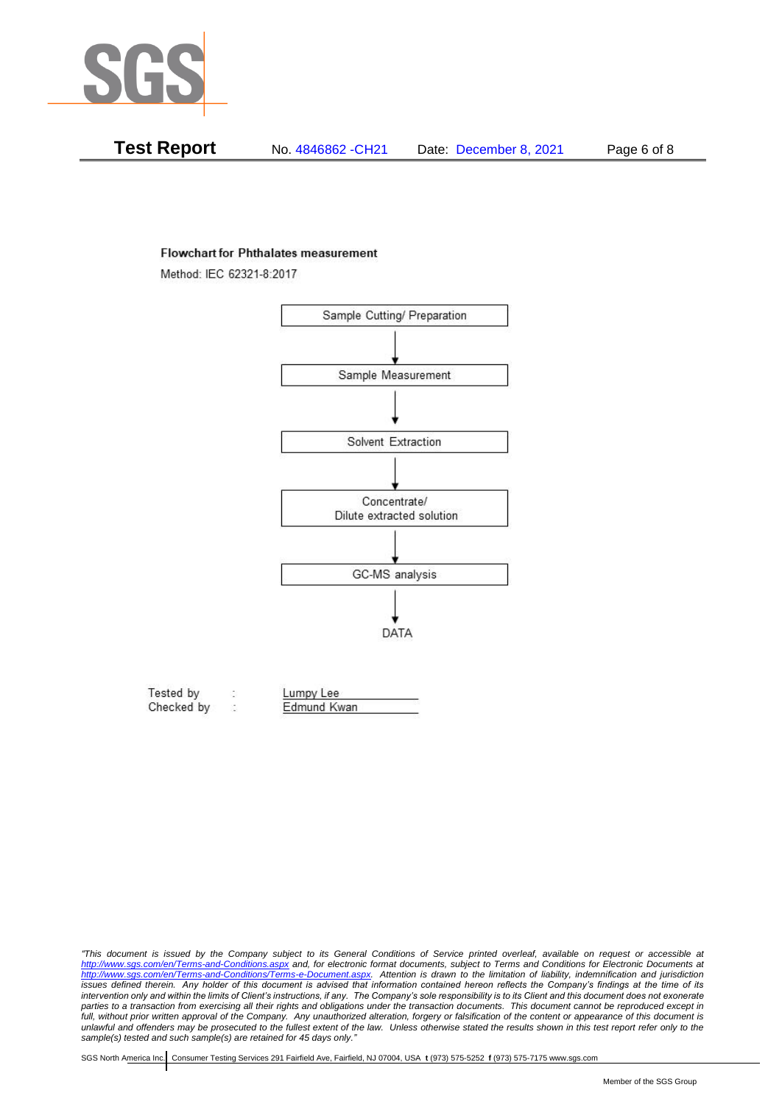

| Test Report | No. 4846862 - CH21 | Date: December 8, 2021 | Page 6 of 8 |
|-------------|--------------------|------------------------|-------------|
|-------------|--------------------|------------------------|-------------|

#### **Flowchart for Phthalates measurement**

Method: IEC 62321-8:2017



| Tested by  | Lumpy Lee   |  |
|------------|-------------|--|
| Checked by | Edmund Kwan |  |

*"This document is issued by the Company subject to its General Conditions of Service printed overleaf, available on request or accessible at <http://www.sgs.com/en/Terms-and-Conditions.aspx> and, for electronic format documents, subject to Terms and Conditions for Electronic Documents at [http://www.sgs.com/en/Terms-and-Conditions/Terms-e-Document.aspx.](http://www.sgs.com/en/Terms-and-Conditions/Terms-e-Document.aspx) Attention is drawn to the limitation of liability, indemnification and jurisdiction issues defined therein. Any holder of this document is advised that information contained hereon reflects the Company's findings at the time of its intervention only and within the limits of Client's instructions, if any. The Company's sole responsibility is to its Client and this document does not exonerate*  parties to a transaction from exercising all their rights and obligations under the transaction documents. This document cannot be reproduced except in *full, without prior written approval of the Company. Any unauthorized alteration, forgery or falsification of the content or appearance of this document is unlawful and offenders may be prosecuted to the fullest extent of the law. Unless otherwise stated the results shown in this test report refer only to the sample(s) tested and such sample(s) are retained for 45 days only."*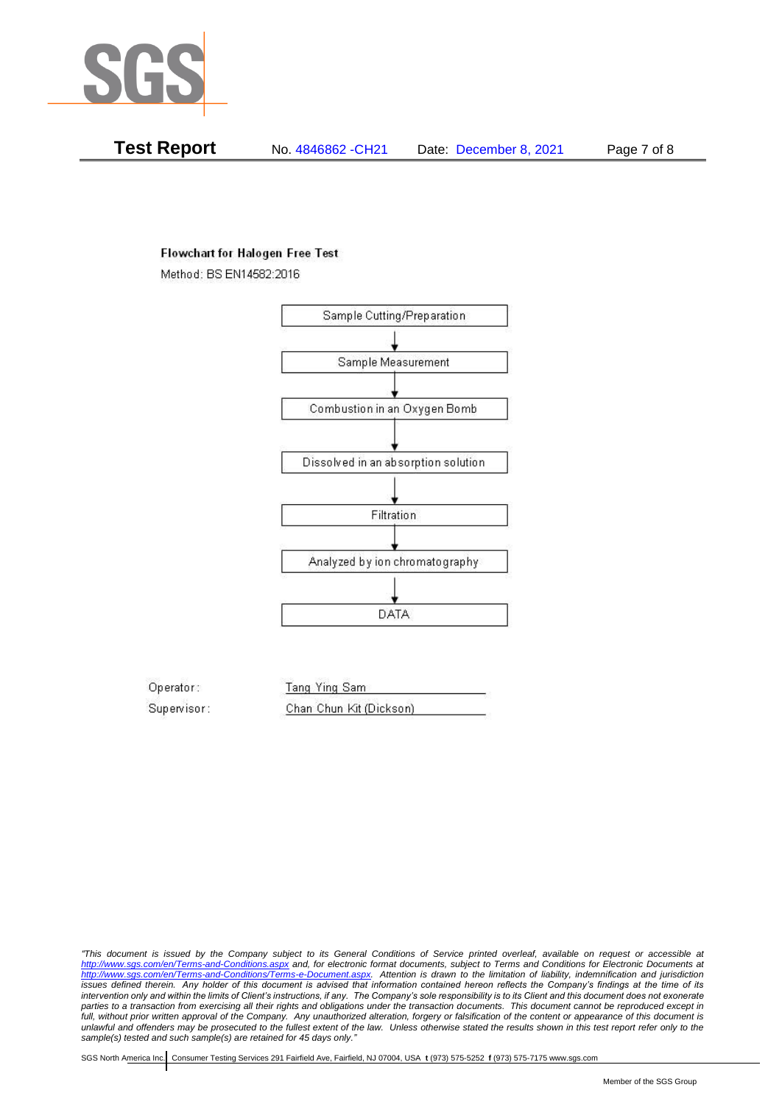

**Test Report** No. 4846862 -CH21 Date: December 8, 2021 Page 7 of 8

## **Flowchart for Halogen Free Test**

Method: BS EN14582:2016



Operator: Tang Ying Sam Supervisor: Chan Chun Kit (Dickson)

*"This document is issued by the Company subject to its General Conditions of Service printed overleaf, available on request or accessible at <http://www.sgs.com/en/Terms-and-Conditions.aspx> and, for electronic format documents, subject to Terms and Conditions for Electronic Documents at [http://www.sgs.com/en/Terms-and-Conditions/Terms-e-Document.aspx.](http://www.sgs.com/en/Terms-and-Conditions/Terms-e-Document.aspx) Attention is drawn to the limitation of liability, indemnification and jurisdiction issues defined therein. Any holder of this document is advised that information contained hereon reflects the Company's findings at the time of its intervention only and within the limits of Client's instructions, if any. The Company's sole responsibility is to its Client and this document does not exonerate parties to a transaction from exercising all their rights and obligations under the transaction documents. This document cannot be reproduced except in full, without prior written approval of the Company. Any unauthorized alteration, forgery or falsification of the content or appearance of this document is unlawful and offenders may be prosecuted to the fullest extent of the law. Unless otherwise stated the results shown in this test report refer only to the sample(s) tested and such sample(s) are retained for 45 days only."*